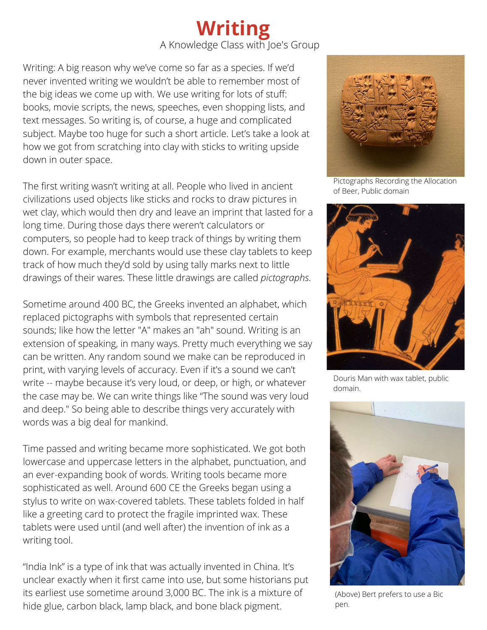## **Writing** A Knowledge Class with Joe's Group

Writing: A big reason why we've come so far as a species. If we'd never invented writing we wouldn't be able to remember most of the big ideas we come up with. We use writing for lots of stuff: books, movie scripts, the news, speeches, even shopping lists, and text messages. So writing is, of course, a huge and complicated subject. Maybe too huge for such a short article. Let's take a look at how we got from scratching into clay with sticks to writing upside down in outer space.

The first writing wasn't writing at all. People who lived in ancient civilizations used objects like sticks and rocks to draw pictures in wet clay, which would then dry and leave an imprint that lasted for a long time. During those days there weren't calculators or computers, so people had to keep track of things by writing them down. For example, merchants would use these clay tablets to keep track of how much they'd sold by using tally marks next to little drawings of their wares. These little drawings are called *pictographs*.

Sometime around 400 BC, the Greeks invented an alphabet, which replaced pictographs with symbols that represented certain sounds; like how the letter "A" makes an "ah" sound. Writing is an extension of speaking, in many ways. Pretty much everything we say can be written. Any random sound we make can be reproduced in print, with varying levels of accuracy. Even if it's a sound we can't write -- maybe because it's very loud, or deep, or high, or whatever the case may be. We can write things like "The sound was very loud and deep." So being able to describe things very accurately with words was a big deal for mankind.

Time passed and writing became more sophisticated. We got both lowercase and uppercase letters in the alphabet, punctuation, and an ever-expanding book of words. Writing tools became more sophisticated as well. Around 600 CE the Greeks began using a stylus to write on wax-covered tablets. These tablets folded in half like a greeting card to protect the fragile imprinted wax. These tablets were used until (and well after) the invention of ink as a writing tool.

"India Ink" is a type of ink that was actually invented in China. It's unclear exactly when it first came into use, but some historians put its earliest use sometime around 3,000 BC. The ink is a mixture of hide glue, carbon black, lamp black, and bone black pigment.



Pictographs Recording the Allocation of Beer, Public domain



Douris Man with wax tablet, public domain.



(Above) Bert prefers to use a Bic pen.